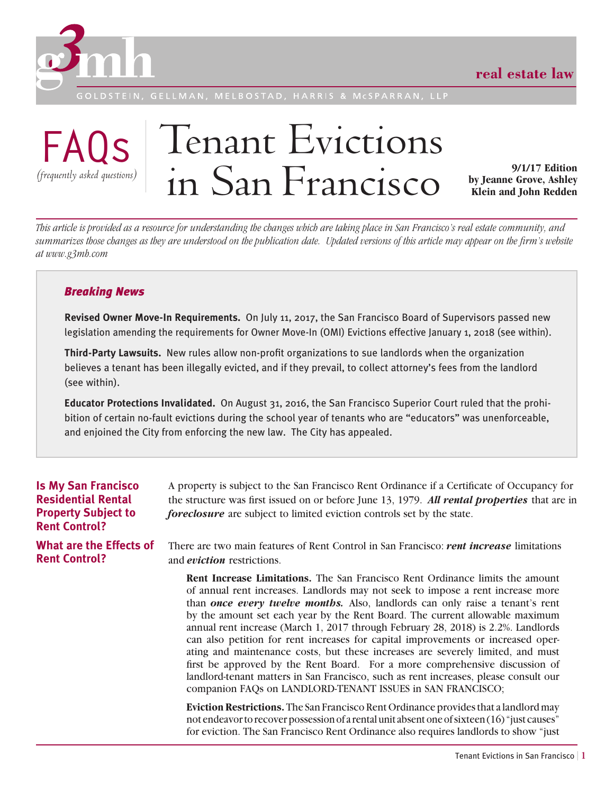

ELBOSTAD.



# Tenant Evictions in San Francisco **by Jeanne Grove**, Ashley<br> **in San Francisco by Jeanne Grove**, Ashley

**by Jeanne Grove, Ashley Klein and John Redden**

*This article is provided as a resource for understanding the changes which are taking place in San Francisco's real estate community, and summarizes those changes as they are understood on the publication date. Updated versions of this article may appear on the firm's website at www.g3mh.com*

# *Breaking News*

**Revised Owner Move-In Requirements.** On July 11, 2017, the San Francisco Board of Supervisors passed new legislation amending the requirements for Owner Move-In (OMI) Evictions effective January 1, 2018 (see within).

**Third-Party Lawsuits.** New rules allow non-profit organizations to sue landlords when the organization believes a tenant has been illegally evicted, and if they prevail, to collect attorney's fees from the landlord (see within).

**Educator Protections Invalidated.** On August 31, 2016, the San Francisco Superior Court ruled that the prohibition of certain no-fault evictions during the school year of tenants who are "educators" was unenforceable, and enjoined the City from enforcing the new law. The City has appealed.

| <b>Is My San Francisco</b><br><b>Residential Rental</b><br><b>Property Subject to</b><br><b>Rent Control?</b> | A property is subject to the San Francisco Rent Ordinance if a Certificate of Occupancy for<br>the structure was first issued on or before June 13, 1979. All rental properties that are in<br><i>foreclosure</i> are subject to limited eviction controls set by the state.                                                                                                                                                                                                                                                                                                                                                                                                                                                                                                                                                              |
|---------------------------------------------------------------------------------------------------------------|-------------------------------------------------------------------------------------------------------------------------------------------------------------------------------------------------------------------------------------------------------------------------------------------------------------------------------------------------------------------------------------------------------------------------------------------------------------------------------------------------------------------------------------------------------------------------------------------------------------------------------------------------------------------------------------------------------------------------------------------------------------------------------------------------------------------------------------------|
| What are the Effects of<br><b>Rent Control?</b>                                                               | There are two main features of Rent Control in San Francisco: <i>rent increase</i> limitations<br>and <i>eviction</i> restrictions.                                                                                                                                                                                                                                                                                                                                                                                                                                                                                                                                                                                                                                                                                                       |
|                                                                                                               | <b>Rent Increase Limitations.</b> The San Francisco Rent Ordinance limits the amount<br>of annual rent increases. Landlords may not seek to impose a rent increase more<br>than once every twelve months. Also, landlords can only raise a tenant's rent<br>by the amount set each year by the Rent Board. The current allowable maximum<br>annual rent increase (March 1, 2017 through February 28, 2018) is 2.2%. Landlords<br>can also petition for rent increases for capital improvements or increased oper-<br>ating and maintenance costs, but these increases are severely limited, and must<br>first be approved by the Rent Board. For a more comprehensive discussion of<br>landlord-tenant matters in San Francisco, such as rent increases, please consult our<br>companion FAQs on LANDLORD-TENANT ISSUES in SAN FRANCISCO; |
|                                                                                                               | <b>Eviction Restrictions.</b> The San Francisco Rent Ordinance provides that a landlord may<br>not endeavor to recover possession of a rental unit absent one of sixteen (16) "just causes"<br>for eviction. The San Francisco Rent Ordinance also requires landlords to show "just"                                                                                                                                                                                                                                                                                                                                                                                                                                                                                                                                                      |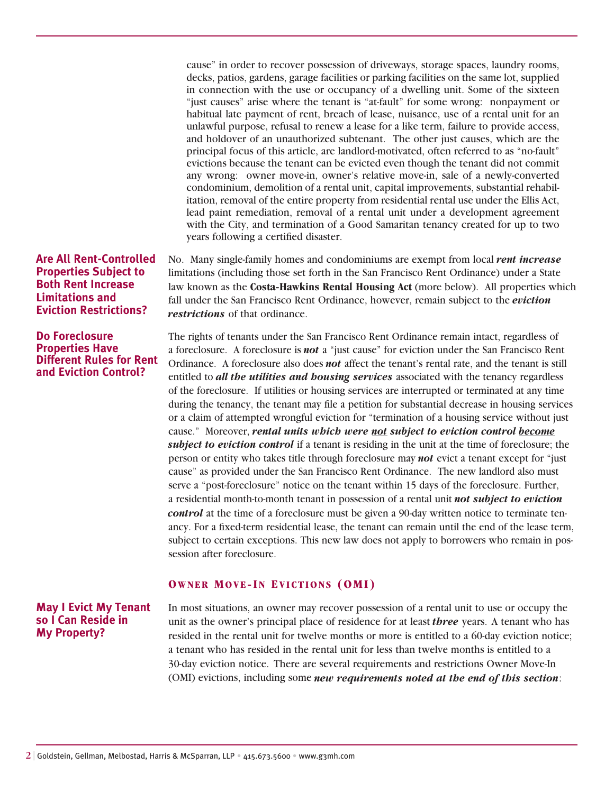cause" in order to recover possession of driveways, storage spaces, laundry rooms, decks, patios, gardens, garage facilities or parking facilities on the same lot, supplied in connection with the use or occupancy of a dwelling unit. Some of the sixteen "just causes" arise where the tenant is "at-fault" for some wrong: nonpayment or habitual late payment of rent, breach of lease, nuisance, use of a rental unit for an unlawful purpose, refusal to renew a lease for a like term, failure to provide access, and holdover of an unauthorized subtenant. The other just causes, which are the principal focus of this article, are landlord-motivated, often referred to as "no-fault" evictions because the tenant can be evicted even though the tenant did not commit any wrong: owner move-in, owner's relative move-in, sale of a newly-converted condominium, demolition of a rental unit, capital improvements, substantial rehabilitation, removal of the entire property from residential rental use under the Ellis Act, lead paint remediation, removal of a rental unit under a development agreement with the City, and termination of a Good Samaritan tenancy created for up to two years following a certified disaster.

**Are All Rent-Controlled Properties Subject to Both Rent Increase Limitations and Eviction Restrictions?**

## **Do Foreclosure Properties Have Different Rules for Rent and Eviction Control?**

No. Many single-family homes and condominiums are exempt from local *rent increase* limitations (including those set forth in the San Francisco Rent Ordinance) under a State law known as the **Costa-Hawkins Rental Housing Act** (more below). All properties which fall under the San Francisco Rent Ordinance, however, remain subject to the *eviction restrictions* of that ordinance.

The rights of tenants under the San Francisco Rent Ordinance remain intact, regardless of a foreclosure. A foreclosure is *not* a "just cause" for eviction under the San Francisco Rent Ordinance. A foreclosure also does *not* affect the tenant's rental rate, and the tenant is still entitled to *all the utilities and housing services* associated with the tenancy regardless of the foreclosure. If utilities or housing services are interrupted or terminated at any time during the tenancy, the tenant may file a petition for substantial decrease in housing services or a claim of attempted wrongful eviction for "termination of a housing service without just cause." Moreover, *rental units which were not subject to eviction control become subject to eviction control* if a tenant is residing in the unit at the time of foreclosure; the person or entity who takes title through foreclosure may *not* evict a tenant except for "just cause" as provided under the San Francisco Rent Ordinance. The new landlord also must serve a "post-foreclosure" notice on the tenant within 15 days of the foreclosure. Further, a residential month-to-month tenant in possession of a rental unit *not subject to eviction control* at the time of a foreclosure must be given a 90-day written notice to terminate tenancy. For a fixed-term residential lease, the tenant can remain until the end of the lease term, subject to certain exceptions. This new law does not apply to borrowers who remain in possession after foreclosure.

## **Owner Move-In Evictions (OMI)**

# **May I Evict My Tenant so I Can Reside in My Property?**

In most situations, an owner may recover possession of a rental unit to use or occupy the unit as the owner's principal place of residence for at least *three* years. A tenant who has resided in the rental unit for twelve months or more is entitled to a 60-day eviction notice; a tenant who has resided in the rental unit for less than twelve months is entitled to a 30-day eviction notice. There are several requirements and restrictions Owner Move-In (OMI) evictions, including some *new requirements noted at the end of this section*: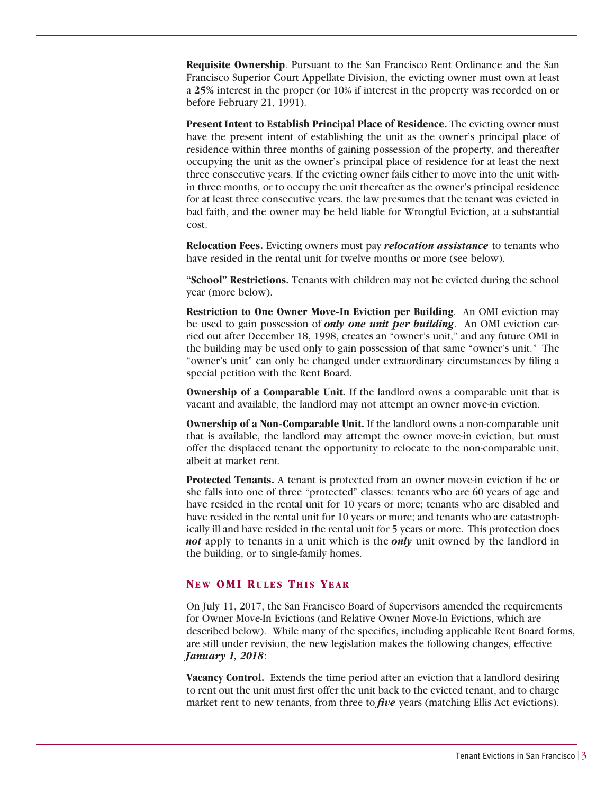**Requisite Ownership**. Pursuant to the San Francisco Rent Ordinance and the San Francisco Superior Court Appellate Division, the evicting owner must own at least a **25%** interest in the proper (or 10% if interest in the property was recorded on or before February 21, 1991).

**Present Intent to Establish Principal Place of Residence.** The evicting owner must have the present intent of establishing the unit as the owner's principal place of residence within three months of gaining possession of the property, and thereafter occupying the unit as the owner's principal place of residence for at least the next three consecutive years. If the evicting owner fails either to move into the unit within three months, or to occupy the unit thereafter as the owner's principal residence for at least three consecutive years, the law presumes that the tenant was evicted in bad faith, and the owner may be held liable for Wrongful Eviction, at a substantial cost.

**Relocation Fees.** Evicting owners must pay *relocation assistance* to tenants who have resided in the rental unit for twelve months or more (see below).

**"School" Restrictions.** Tenants with children may not be evicted during the school year (more below).

**Restriction to One Owner Move-In Eviction per Building**. An OMI eviction may be used to gain possession of *only one unit per building*. An OMI eviction carried out after December 18, 1998, creates an "owner's unit," and any future OMI in the building may be used only to gain possession of that same "owner's unit." The "owner's unit" can only be changed under extraordinary circumstances by filing a special petition with the Rent Board.

**Ownership of a Comparable Unit.** If the landlord owns a comparable unit that is vacant and available, the landlord may not attempt an owner move-in eviction.

**Ownership of a Non-Comparable Unit.** If the landlord owns a non-comparable unit that is available, the landlord may attempt the owner move-in eviction, but must offer the displaced tenant the opportunity to relocate to the non-comparable unit, albeit at market rent.

**Protected Tenants.** A tenant is protected from an owner move-in eviction if he or she falls into one of three "protected" classes: tenants who are 60 years of age and have resided in the rental unit for 10 years or more; tenants who are disabled and have resided in the rental unit for 10 years or more; and tenants who are catastrophically ill and have resided in the rental unit for 5 years or more. This protection does *not* apply to tenants in a unit which is the *only* unit owned by the landlord in the building, or to single-family homes.

#### **NEW OMI RULES THIS YEAR**

On July 11, 2017, the San Francisco Board of Supervisors amended the requirements for Owner Move-In Evictions (and Relative Owner Move-In Evictions, which are described below). While many of the specifics, including applicable Rent Board forms, are still under revision, the new legislation makes the following changes, effective *January 1, 2018*:

**Vacancy Control.** Extends the time period after an eviction that a landlord desiring to rent out the unit must first offer the unit back to the evicted tenant, and to charge market rent to new tenants, from three to *five* years (matching Ellis Act evictions).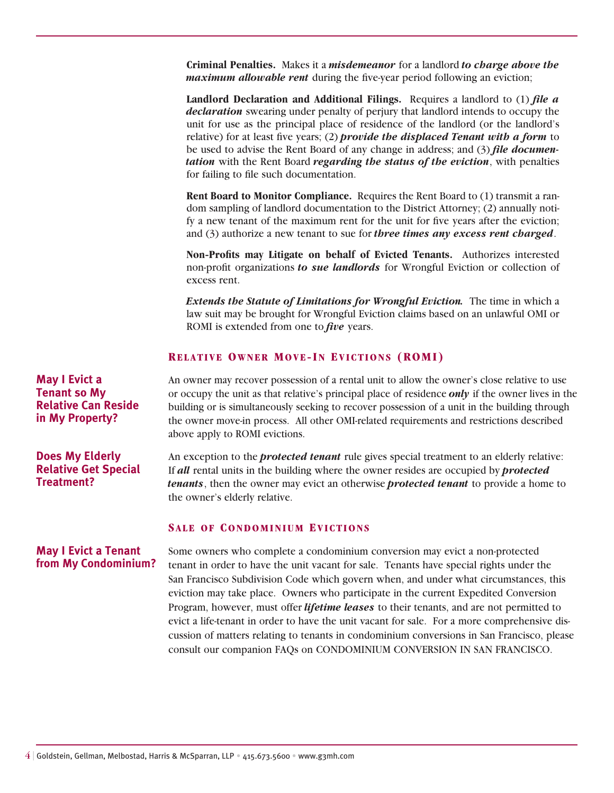**Criminal Penalties.** Makes it a *misdemeanor* for a landlord *to charge above the maximum allowable rent* during the five-year period following an eviction;

**Landlord Declaration and Additional Filings.** Requires a landlord to (1) *file a declaration* swearing under penalty of perjury that landlord intends to occupy the unit for use as the principal place of residence of the landlord (or the landlord's relative) for at least five years; (2) *provide the displaced Tenant with a form* to be used to advise the Rent Board of any change in address; and (3) *file documentation* with the Rent Board *regarding the status of the eviction*, with penalties for failing to file such documentation.

**Rent Board to Monitor Compliance.** Requires the Rent Board to (1) transmit a random sampling of landlord documentation to the District Attorney; (2) annually notify a new tenant of the maximum rent for the unit for five years after the eviction; and (3) authorize a new tenant to sue for *three times any excess rent charged*.

**Non-Profits may Litigate on behalf of Evicted Tenants.** Authorizes interested non-profit organizations *to sue landlords* for Wrongful Eviction or collection of excess rent.

*Extends the Statute of Limitations for Wrongful Eviction.* The time in which a law suit may be brought for Wrongful Eviction claims based on an unlawful OMI or ROMI is extended from one to *five* years.

## **Relative Owner Move-In Evictions (ROMI)**

An owner may recover possession of a rental unit to allow the owner's close relative to use or occupy the unit as that relative's principal place of residence *only* if the owner lives in the building or is simultaneously seeking to recover possession of a unit in the building through the owner move-in process. All other OMI-related requirements and restrictions described above apply to ROMI evictions.

An exception to the *protected tenant* rule gives special treatment to an elderly relative: If *all* rental units in the building where the owner resides are occupied by *protected tenants*, then the owner may evict an otherwise *protected tenant* to provide a home to the owner's elderly relative.

## **Sale of Condominium Evictions**

Some owners who complete a condominium conversion may evict a non-protected **May I Evict a Tenant from My Condominium?** 

tenant in order to have the unit vacant for sale. Tenants have special rights under the San Francisco Subdivision Code which govern when, and under what circumstances, this eviction may take place. Owners who participate in the current Expedited Conversion Program, however, must offer *lifetime leases* to their tenants, and are not permitted to evict a life-tenant in order to have the unit vacant for sale. For a more comprehensive discussion of matters relating to tenants in condominium conversions in San Francisco, please consult our companion FAQs on CONDOMINIUM CONVERSION IN SAN FRANCISCO.

**May I Evict a Tenant so My Relative Can Reside in My Property?** 

**Does My Elderly Relative Get Special Treatment?**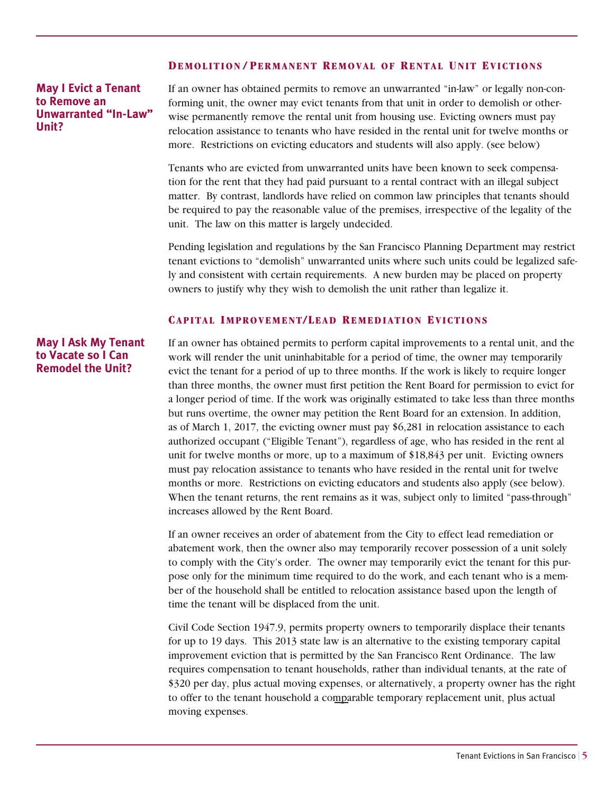## **Demol ition / Permanent Removal of Rental Unit Evictions**

**May I Evict a Tenant to Remove an Unwarranted "In-Law" Unit?**

If an owner has obtained permits to remove an unwarranted "in-law" or legally non-conforming unit, the owner may evict tenants from that unit in order to demolish or otherwise permanently remove the rental unit from housing use. Evicting owners must pay relocation assistance to tenants who have resided in the rental unit for twelve months or more. Restrictions on evicting educators and students will also apply. (see below)

Tenants who are evicted from unwarranted units have been known to seek compensation for the rent that they had paid pursuant to a rental contract with an illegal subject matter. By contrast, landlords have relied on common law principles that tenants should be required to pay the reasonable value of the premises, irrespective of the legality of the unit. The law on this matter is largely undecided.

Pending legislation and regulations by the San Francisco Planning Department may restrict tenant evictions to "demolish" unwarranted units where such units could be legalized safely and consistent with certain requirements. A new burden may be placed on property owners to justify why they wish to demolish the unit rather than legalize it.

## **Capital Improvement/Lead Remediation Evictions**

# **May I Ask My Tenant to Vacate so I Can Remodel the Unit?**

If an owner has obtained permits to perform capital improvements to a rental unit, and the work will render the unit uninhabitable for a period of time, the owner may temporarily evict the tenant for a period of up to three months. If the work is likely to require longer than three months, the owner must first petition the Rent Board for permission to evict for a longer period of time. If the work was originally estimated to take less than three months but runs overtime, the owner may petition the Rent Board for an extension. In addition, as of March 1, 2017, the evicting owner must pay \$6,281 in relocation assistance to each authorized occupant ("Eligible Tenant"), regardless of age, who has resided in the rent al unit for twelve months or more, up to a maximum of \$18,843 per unit. Evicting owners must pay relocation assistance to tenants who have resided in the rental unit for twelve months or more. Restrictions on evicting educators and students also apply (see below). When the tenant returns, the rent remains as it was, subject only to limited "pass-through" increases allowed by the Rent Board.

If an owner receives an order of abatement from the City to effect lead remediation or abatement work, then the owner also may temporarily recover possession of a unit solely to comply with the City's order. The owner may temporarily evict the tenant for this purpose only for the minimum time required to do the work, and each tenant who is a member of the household shall be entitled to relocation assistance based upon the length of time the tenant will be displaced from the unit.

Civil Code Section 1947.9, permits property owners to temporarily displace their tenants for up to 19 days. This 2013 state law is an alternative to the existing temporary capital improvement eviction that is permitted by the San Francisco Rent Ordinance. The law requires compensation to tenant households, rather than individual tenants, at the rate of \$320 per day, plus actual moving expenses, or alternatively, a property owner has the right to offer to the tenant household a comparable temporary replacement unit, plus actual moving expenses.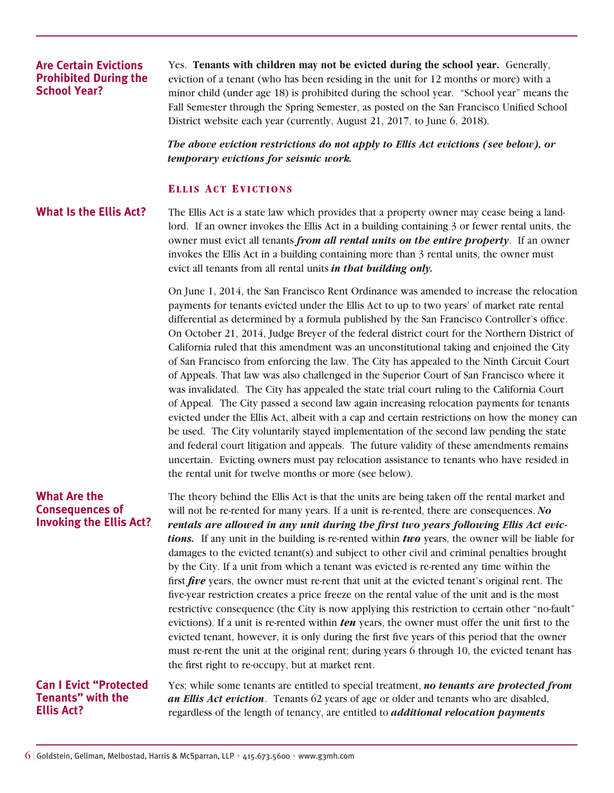# **Are Certain Evictions Prohibited During the School Year?**

Yes. **Tenants with children may not be evicted during the school year.** Generally, eviction of a tenant (who has been residing in the unit for 12 months or more) with a minor child (under age 18) is prohibited during the school year. "School year" means the Fall Semester through the Spring Semester, as posted on the San Francisco Unified School District website each year (currently, August 21, 2017, to June 6, 2018).

*The above eviction restrictions do not apply to Ellis Act evictions (see below), or temporary evictions for seismic work.*

## **Ell i s Act Evictions**

# **What Is the Ellis Act?**

The Ellis Act is a state law which provides that a property owner may cease being a landlord. If an owner invokes the Ellis Act in a building containing 3 or fewer rental units, the owner must evict all tenants *from all rental units on the entire property*. If an owner invokes the Ellis Act in a building containing more than 3 rental units, the owner must evict all tenants from all rental units *in that building only.*

On June 1, 2014, the San Francisco Rent Ordinance was amended to increase the relocation payments for tenants evicted under the Ellis Act to up to two years' of market rate rental differential as determined by a formula published by the San Francisco Controller's office. On October 21, 2014, Judge Breyer of the federal district court for the Northern District of California ruled that this amendment was an unconstitutional taking and enjoined the City of San Francisco from enforcing the law. The City has appealed to the Ninth Circuit Court of Appeals. That law was also challenged in the Superior Court of San Francisco where it was invalidated. The City has appealed the state trial court ruling to the California Court of Appeal. The City passed a second law again increasing relocation payments for tenants evicted under the Ellis Act, albeit with a cap and certain restrictions on how the money can be used. The City voluntarily stayed implementation of the second law pending the state and federal court litigation and appeals. The future validity of these amendments remains uncertain. Evicting owners must pay relocation assistance to tenants who have resided in the rental unit for twelve months or more (see below).

# **What Are the Consequences of Invoking the Ellis Act?**

The theory behind the Ellis Act is that the units are being taken off the rental market and will not be re-rented for many years. If a unit is re-rented, there are consequences. *No rentals are allowed in any unit during the first two years following Ellis Act evictions.* If any unit in the building is re-rented within *two* years, the owner will be liable for damages to the evicted tenant(s) and subject to other civil and criminal penalties brought by the City. If a unit from which a tenant was evicted is re-rented any time within the first *five* years, the owner must re-rent that unit at the evicted tenant's original rent. The five-year restriction creates a price freeze on the rental value of the unit and is the most restrictive consequence (the City is now applying this restriction to certain other "no-fault" evictions). If a unit is re-rented within *ten* years, the owner must offer the unit first to the evicted tenant, however, it is only during the first five years of this period that the owner must re-rent the unit at the original rent; during years 6 through 10, the evicted tenant has the first right to re-occupy, but at market rent.

## **Can I Evict "Protected Tenants" with the Ellis Act?**

Yes; while some tenants are entitled to special treatment, *no tenants are protected from an Ellis Act eviction*. Tenants 62 years of age or older and tenants who are disabled, regardless of the length of tenancy, are entitled to *additional relocation payments*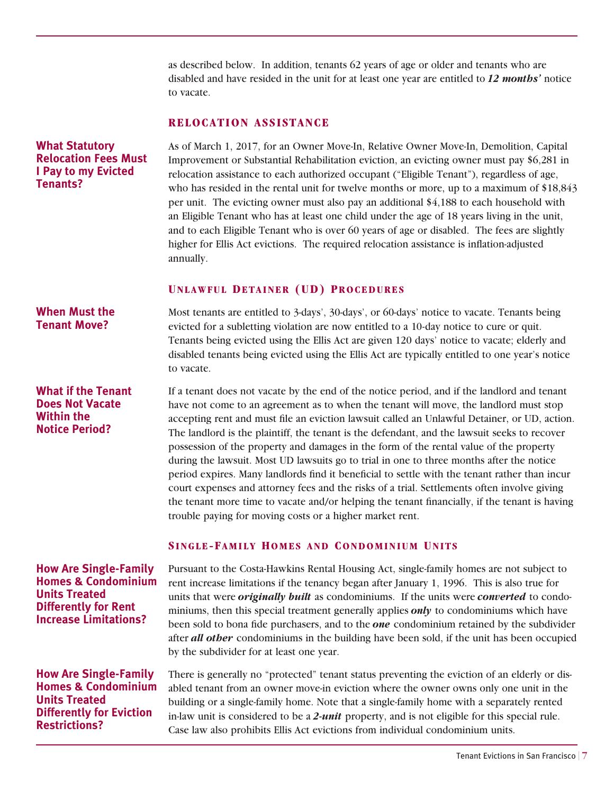as described below. In addition, tenants 62 years of age or older and tenants who are disabled and have resided in the unit for at least one year are entitled to *12 months'* notice to vacate.

# **RELOCATION ASSISTANCE**

As of March 1, 2017, for an Owner Move-In, Relative Owner Move-In, Demolition, Capital Improvement or Substantial Rehabilitation eviction, an evicting owner must pay \$6,281 in relocation assistance to each authorized occupant ("Eligible Tenant"), regardless of age, who has resided in the rental unit for twelve months or more, up to a maximum of \$18,843 per unit. The evicting owner must also pay an additional \$4,188 to each household with an Eligible Tenant who has at least one child under the age of 18 years living in the unit, and to each Eligible Tenant who is over 60 years of age or disabled. The fees are slightly higher for Ellis Act evictions. The required relocation assistance is inflation-adjusted annually. **Relocation Fees Must** 

## **Unlawful Detainer (UD) Procedures**

**When Must the Tenant Move?** 

**What Statutory** 

**Tenants?**

**I Pay to my Evicted** 

**What if the Tenant Does Not Vacate Within the Notice Period?** 

Most tenants are entitled to 3-days', 30-days', or 60-days' notice to vacate. Tenants being evicted for a subletting violation are now entitled to a 10-day notice to cure or quit. Tenants being evicted using the Ellis Act are given 120 days' notice to vacate; elderly and disabled tenants being evicted using the Ellis Act are typically entitled to one year's notice to vacate.

If a tenant does not vacate by the end of the notice period, and if the landlord and tenant have not come to an agreement as to when the tenant will move, the landlord must stop accepting rent and must file an eviction lawsuit called an Unlawful Detainer, or UD, action. The landlord is the plaintiff, the tenant is the defendant, and the lawsuit seeks to recover possession of the property and damages in the form of the rental value of the property during the lawsuit. Most UD lawsuits go to trial in one to three months after the notice period expires. Many landlords find it beneficial to settle with the tenant rather than incur court expenses and attorney fees and the risks of a trial. Settlements often involve giving the tenant more time to vacate and/or helping the tenant financially, if the tenant is having trouble paying for moving costs or a higher market rent.

# **SINGLE-FAMILY HOMES AND CONDOMINIUM UNITS**

Pursuant to the Costa-Hawkins Rental Housing Act, single-family homes are not subject to rent increase limitations if the tenancy began after January 1, 1996. This is also true for units that were *originally built* as condominiums. If the units were *converted* to condominiums, then this special treatment generally applies *only* to condominiums which have been sold to bona fide purchasers, and to the *one* condominium retained by the subdivider after *all other* condominiums in the building have been sold, if the unit has been occupied by the subdivider for at least one year.

There is generally no "protected" tenant status preventing the eviction of an elderly or disabled tenant from an owner move-in eviction where the owner owns only one unit in the building or a single-family home. Note that a single-family home with a separately rented in-law unit is considered to be a *2-unit* property, and is not eligible for this special rule. Case law also prohibits Ellis Act evictions from individual condominium units.

**How Are Single-Family Homes & Condominium Units Treated Differently for Rent Increase Limitations?** 

**How Are Single-Family Homes & Condominium Units Treated Differently for Eviction Restrictions?**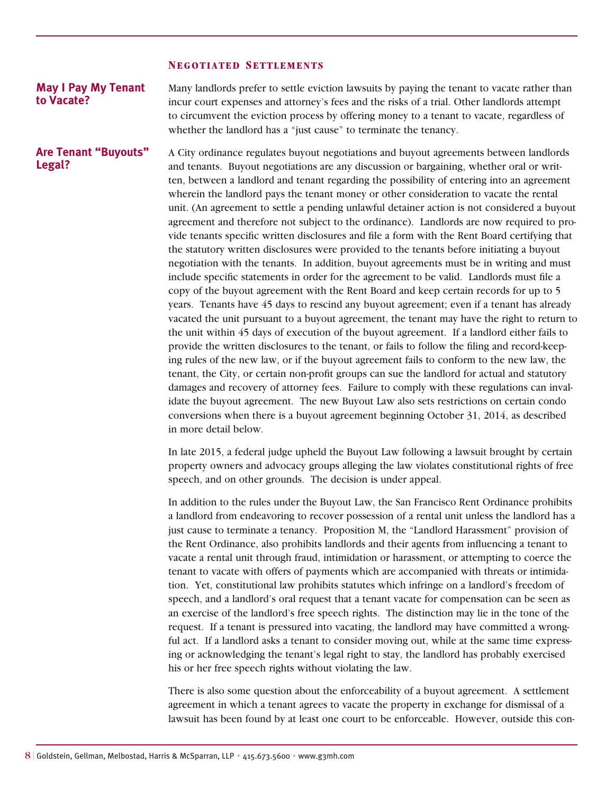#### **Negotiated Settlements**

**Legal?** 

Many landlords prefer to settle eviction lawsuits by paying the tenant to vacate rather than incur court expenses and attorney's fees and the risks of a trial. Other landlords attempt to circumvent the eviction process by offering money to a tenant to vacate, regardless of whether the landlord has a "just cause" to terminate the tenancy. **May I Pay My Tenant to Vacate?** 

A City ordinance regulates buyout negotiations and buyout agreements between landlords and tenants. Buyout negotiations are any discussion or bargaining, whether oral or written, between a landlord and tenant regarding the possibility of entering into an agreement wherein the landlord pays the tenant money or other consideration to vacate the rental unit. (An agreement to settle a pending unlawful detainer action is not considered a buyout agreement and therefore not subject to the ordinance). Landlords are now required to provide tenants specific written disclosures and file a form with the Rent Board certifying that the statutory written disclosures were provided to the tenants before initiating a buyout negotiation with the tenants. In addition, buyout agreements must be in writing and must include specific statements in order for the agreement to be valid. Landlords must file a copy of the buyout agreement with the Rent Board and keep certain records for up to 5 years. Tenants have 45 days to rescind any buyout agreement; even if a tenant has already vacated the unit pursuant to a buyout agreement, the tenant may have the right to return to the unit within 45 days of execution of the buyout agreement. If a landlord either fails to provide the written disclosures to the tenant, or fails to follow the filing and record-keeping rules of the new law, or if the buyout agreement fails to conform to the new law, the tenant, the City, or certain non-profit groups can sue the landlord for actual and statutory damages and recovery of attorney fees. Failure to comply with these regulations can invalidate the buyout agreement. The new Buyout Law also sets restrictions on certain condo conversions when there is a buyout agreement beginning October 31, 2014, as described in more detail below. **Are Tenant "Buyouts"** 

> In late 2015, a federal judge upheld the Buyout Law following a lawsuit brought by certain property owners and advocacy groups alleging the law violates constitutional rights of free speech, and on other grounds. The decision is under appeal.

> In addition to the rules under the Buyout Law, the San Francisco Rent Ordinance prohibits a landlord from endeavoring to recover possession of a rental unit unless the landlord has a just cause to terminate a tenancy. Proposition M, the "Landlord Harassment" provision of the Rent Ordinance, also prohibits landlords and their agents from influencing a tenant to vacate a rental unit through fraud, intimidation or harassment, or attempting to coerce the tenant to vacate with offers of payments which are accompanied with threats or intimidation. Yet, constitutional law prohibits statutes which infringe on a landlord's freedom of speech, and a landlord's oral request that a tenant vacate for compensation can be seen as an exercise of the landlord's free speech rights. The distinction may lie in the tone of the request. If a tenant is pressured into vacating, the landlord may have committed a wrongful act. If a landlord asks a tenant to consider moving out, while at the same time expressing or acknowledging the tenant's legal right to stay, the landlord has probably exercised his or her free speech rights without violating the law.

> There is also some question about the enforceability of a buyout agreement. A settlement agreement in which a tenant agrees to vacate the property in exchange for dismissal of a lawsuit has been found by at least one court to be enforceable. However, outside this con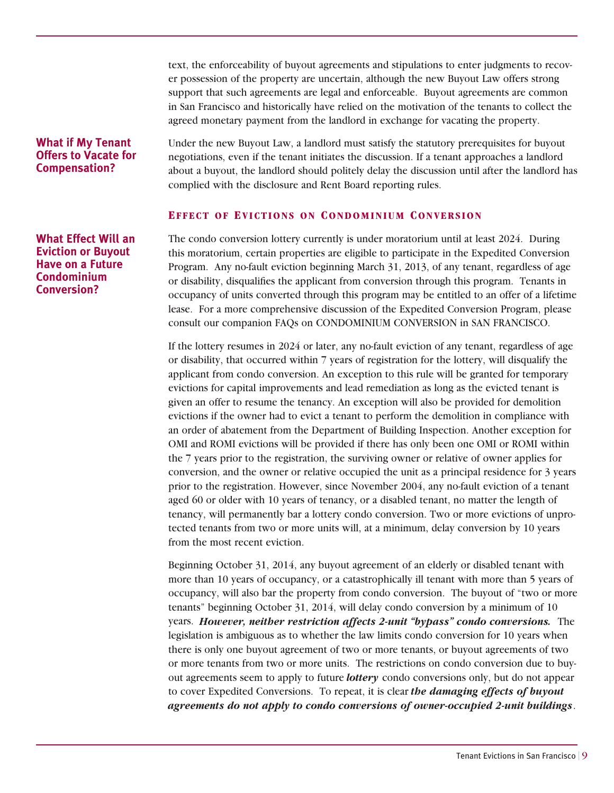text, the enforceability of buyout agreements and stipulations to enter judgments to recover possession of the property are uncertain, although the new Buyout Law offers strong support that such agreements are legal and enforceable. Buyout agreements are common in San Francisco and historically have relied on the motivation of the tenants to collect the agreed monetary payment from the landlord in exchange for vacating the property.

# **What if My Tenant Offers to Vacate for Compensation?**

Under the new Buyout Law, a landlord must satisfy the statutory prerequisites for buyout negotiations, even if the tenant initiates the discussion. If a tenant approaches a landlord about a buyout, the landlord should politely delay the discussion until after the landlord has complied with the disclosure and Rent Board reporting rules.

# **Effect of Evictions on Condominium Convers ion**

The condo conversion lottery currently is under moratorium until at least 2024. During this moratorium, certain properties are eligible to participate in the Expedited Conversion Program. Any no-fault eviction beginning March 31, 2013, of any tenant, regardless of age or disability, disqualifies the applicant from conversion through this program. Tenants in occupancy of units converted through this program may be entitled to an offer of a lifetime lease. For a more comprehensive discussion of the Expedited Conversion Program, please consult our companion FAQs on CONDOMINIUM CONVERSION in SAN FRANCISCO.

If the lottery resumes in 2024 or later, any no-fault eviction of any tenant, regardless of age or disability, that occurred within 7 years of registration for the lottery, will disqualify the applicant from condo conversion. An exception to this rule will be granted for temporary evictions for capital improvements and lead remediation as long as the evicted tenant is given an offer to resume the tenancy. An exception will also be provided for demolition evictions if the owner had to evict a tenant to perform the demolition in compliance with an order of abatement from the Department of Building Inspection. Another exception for OMI and ROMI evictions will be provided if there has only been one OMI or ROMI within the 7 years prior to the registration, the surviving owner or relative of owner applies for conversion, and the owner or relative occupied the unit as a principal residence for 3 years prior to the registration. However, since November 2004, any no-fault eviction of a tenant aged 60 or older with 10 years of tenancy, or a disabled tenant, no matter the length of tenancy, will permanently bar a lottery condo conversion. Two or more evictions of unprotected tenants from two or more units will, at a minimum, delay conversion by 10 years from the most recent eviction.

Beginning October 31, 2014, any buyout agreement of an elderly or disabled tenant with more than 10 years of occupancy, or a catastrophically ill tenant with more than 5 years of occupancy, will also bar the property from condo conversion. The buyout of "two or more tenants" beginning October 31, 2014, will delay condo conversion by a minimum of 10 years. *However, neither restriction affects 2-unit "bypass" condo conversions.* The legislation is ambiguous as to whether the law limits condo conversion for 10 years when there is only one buyout agreement of two or more tenants, or buyout agreements of two or more tenants from two or more units. The restrictions on condo conversion due to buyout agreements seem to apply to future *lottery* condo conversions only, but do not appear to cover Expedited Conversions. To repeat, it is clear *the damaging effects of buyout agreements do not apply to condo conversions of owner-occupied 2-unit buildings*.

**What Effect Will an Eviction or Buyout Have on a Future Condominium Conversion?**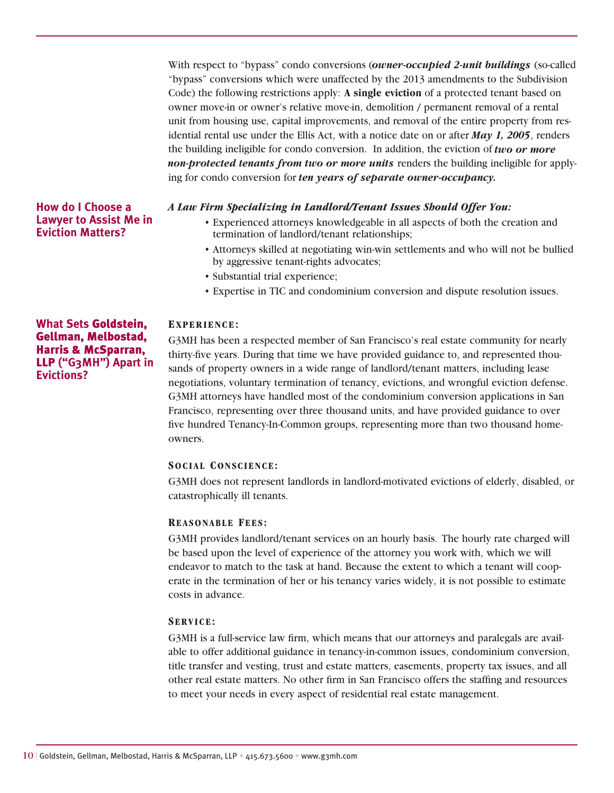With respect to "bypass" condo conversions (*owner-occupied 2-unit buildings* (so-called "bypass" conversions which were unaffected by the 2013 amendments to the Subdivision Code) the following restrictions apply: **A single eviction** of a protected tenant based on owner move-in or owner's relative move-in, demolition / permanent removal of a rental unit from housing use, capital improvements, and removal of the entire property from residential rental use under the Ellis Act, with a notice date on or after *May 1, 2005*, renders the building ineligible for condo conversion. In addition, the eviction of *two or more non-protected tenants from two or more units* renders the building ineligible for applying for condo conversion for *ten years of separate owner-occupancy.*

## *A Law Firm Specializing in Landlord/Tenant Issues Should Offer You:*

- Experienced attorneys knowledgeable in all aspects of both the creation and termination of landlord/tenant relationships;
- Attorneys skilled at negotiating win-win settlements and who will not be bullied by aggressive tenant-rights advocates;
- Substantial trial experience;
- Expertise in TIC and condominium conversion and dispute resolution issues.

#### **Experience:**

G3MH has been a respected member of San Francisco's real estate community for nearly thirty-five years. During that time we have provided guidance to, and represented thousands of property owners in a wide range of landlord/tenant matters, including lease negotiations, voluntary termination of tenancy, evictions, and wrongful eviction defense. G3MH attorneys have handled most of the condominium conversion applications in San Francisco, representing over three thousand units, and have provided guidance to over five hundred Tenancy-In-Common groups, representing more than two thousand homeowners.

## **Social Conscience:**

G3MH does not represent landlords in landlord-motivated evictions of elderly, disabled, or catastrophically ill tenants.

#### **Reasonable Fees :**

G3MH provides landlord/tenant services on an hourly basis. The hourly rate charged will be based upon the level of experience of the attorney you work with, which we will endeavor to match to the task at hand. Because the extent to which a tenant will cooperate in the termination of her or his tenancy varies widely, it is not possible to estimate costs in advance.

## **Service:**

G3MH is a full-service law firm, which means that our attorneys and paralegals are available to offer additional guidance in tenancy-in-common issues, condominium conversion, title transfer and vesting, trust and estate matters, easements, property tax issues, and all other real estate matters. No other firm in San Francisco offers the staffing and resources to meet your needs in every aspect of residential real estate management.

# **What Sets** Goldstein, Gellman, Melbostad, Harris & McSparran, LLP **("G3MH") Apart in Evictions?**

**How do I Choose a Lawyer to Assist Me in Eviction Matters?**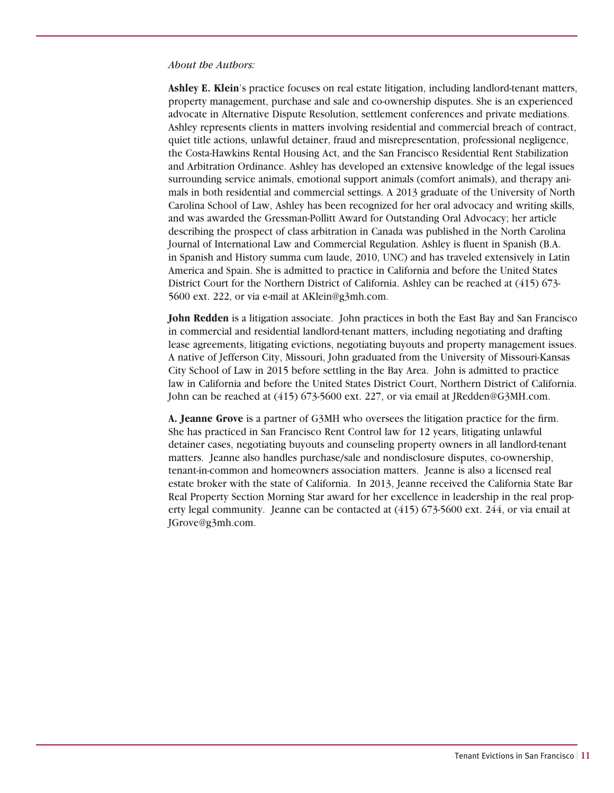#### *About the Authors:*

**Ashley E. Klein**'s practice focuses on real estate litigation, including landlord-tenant matters, property management, purchase and sale and co-ownership disputes. She is an experienced advocate in Alternative Dispute Resolution, settlement conferences and private mediations. Ashley represents clients in matters involving residential and commercial breach of contract, quiet title actions, unlawful detainer, fraud and misrepresentation, professional negligence, the Costa-Hawkins Rental Housing Act, and the San Francisco Residential Rent Stabilization and Arbitration Ordinance. Ashley has developed an extensive knowledge of the legal issues surrounding service animals, emotional support animals (comfort animals), and therapy animals in both residential and commercial settings. A 2013 graduate of the University of North Carolina School of Law, Ashley has been recognized for her oral advocacy and writing skills, and was awarded the Gressman-Pollitt Award for Outstanding Oral Advocacy; her article describing the prospect of class arbitration in Canada was published in the North Carolina Journal of International Law and Commercial Regulation. Ashley is fluent in Spanish (B.A. in Spanish and History summa cum laude, 2010, UNC) and has traveled extensively in Latin America and Spain. She is admitted to practice in California and before the United States District Court for the Northern District of California. Ashley can be reached at (415) 673- 5600 ext. 222, or via e-mail at AKlein@g3mh.com.

**John Redden** is a litigation associate. John practices in both the East Bay and San Francisco in commercial and residential landlord-tenant matters, including negotiating and drafting lease agreements, litigating evictions, negotiating buyouts and property management issues. A native of Jefferson City, Missouri, John graduated from the University of Missouri-Kansas City School of Law in 2015 before settling in the Bay Area. John is admitted to practice law in California and before the United States District Court, Northern District of California. John can be reached at (415) 673-5600 ext. 227, or via email at JRedden@G3MH.com.

**A. Jeanne Grove** is a partner of G3MH who oversees the litigation practice for the firm. She has practiced in San Francisco Rent Control law for 12 years, litigating unlawful detainer cases, negotiating buyouts and counseling property owners in all landlord-tenant matters. Jeanne also handles purchase/sale and nondisclosure disputes, co-ownership, tenant-in-common and homeowners association matters. Jeanne is also a licensed real estate broker with the state of California. In 2013, Jeanne received the California State Bar Real Property Section Morning Star award for her excellence in leadership in the real property legal community. Jeanne can be contacted at (415) 673-5600 ext. 244, or via email at JGrove@g3mh.com.